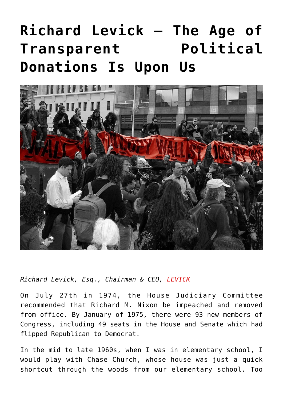## **[Richard Levick — The Age of](https://www.commpro.biz/richard-levick-the-age-of-transparent-political-donations-is-upon-us/) [Transparent Political](https://www.commpro.biz/richard-levick-the-age-of-transparent-political-donations-is-upon-us/) [Donations Is Upon Us](https://www.commpro.biz/richard-levick-the-age-of-transparent-political-donations-is-upon-us/)**



*Richard Levick, Esq., Chairman & CEO, [LEVICK](https://levick.com/)*

On July 27th in 1974, the House Judiciary Committee recommended that Richard M. Nixon be impeached and removed from office. By January of 1975, there were 93 new members of Congress, including 49 seats in the House and Senate which had flipped Republican to Democrat.

In the mid to late 1960s, when I was in elementary school, I would play with Chase Church, whose house was just a quick shortcut through the woods from our elementary school. Too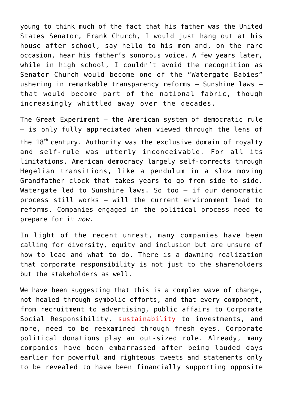young to think much of the fact that his father was the United States Senator, Frank Church, I would just hang out at his house after school, say hello to his mom and, on the rare occasion, hear his father's sonorous voice. A few years later, while in high school, I couldn't avoid the recognition as Senator Church would become one of the "Watergate Babies" ushering in remarkable transparency reforms – Sunshine laws – that would become part of the national fabric, though increasingly whittled away over the decades.

The Great Experiment – the American system of democratic rule – is only fully appreciated when viewed through the lens of the 18<sup>th</sup> century. Authority was the exclusive domain of royalty and self-rule was utterly inconceivable. For all its limitations, American democracy largely self-corrects through Hegelian transitions, like a pendulum in a slow moving Grandfather clock that takes years to go from side to side. Watergate led to Sunshine laws. So too - if our democratic process still works – will the current environment lead to reforms. Companies engaged in the political process need to prepare for it *now*.

In light of the recent unrest, many companies have been calling for diversity, equity and inclusion but are unsure of how to lead and what to do. There is a dawning realization that corporate responsibility is not just to the shareholders but the stakeholders as well.

We have been suggesting that this is a complex wave of change, not healed through symbolic efforts, and that every component, from recruitment to advertising, public affairs to Corporate Social Responsibility, [sustainability](https://www.commpro.biz/?s=sustainability) to investments, and more, need to be reexamined through fresh eyes. Corporate political donations play an out-sized role. Already, many companies have been embarrassed after being lauded days earlier for powerful and righteous tweets and statements only to be revealed to have been financially supporting opposite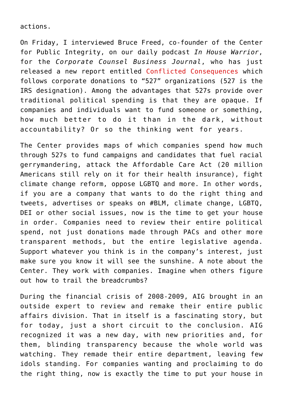actions.

On Friday, I interviewed Bruce Freed, co-founder of the Center for Public Integrity, on our daily podcast *In House Warrior*, for the *Corporate Counsel Business Journal*, who has just released a new report entitled [Conflicted Consequences](https://politicalaccountability.net/hifi/files/Conflicted-Consequences.pdf) which follows corporate donations to "527" organizations (527 is the IRS designation). Among the advantages that 527s provide over traditional political spending is that they are opaque. If companies and individuals want to fund someone or something, how much better to do it than in the dark, without accountability? Or so the thinking went for years.

The Center provides maps of which companies spend how much through 527s to fund campaigns and candidates that fuel racial gerrymandering, attack the Affordable Care Act (20 million Americans still rely on it for their health insurance), fight climate change reform, oppose LGBTQ and more. In other words, if you are a company that wants to do the right thing and tweets, advertises or speaks on #BLM, climate change, LGBTQ, DEI or other social issues, now is the time to get your house in order. Companies need to review their entire political spend, not just donations made through PACs and other more transparent methods, but the entire legislative agenda. Support whatever you think is in the company's interest, just make sure you know it will see the sunshine. A note about the Center. They work with companies. Imagine when others figure out how to trail the breadcrumbs?

During the financial crisis of 2008-2009, AIG brought in an outside expert to review and remake their entire public affairs division. That in itself is a fascinating story, but for today, just a short circuit to the conclusion. AIG recognized it was a new day, with new priorities and, for them, blinding transparency because the whole world was watching. They remade their entire department, leaving few idols standing. For companies wanting and proclaiming to do the right thing, now is exactly the time to put your house in